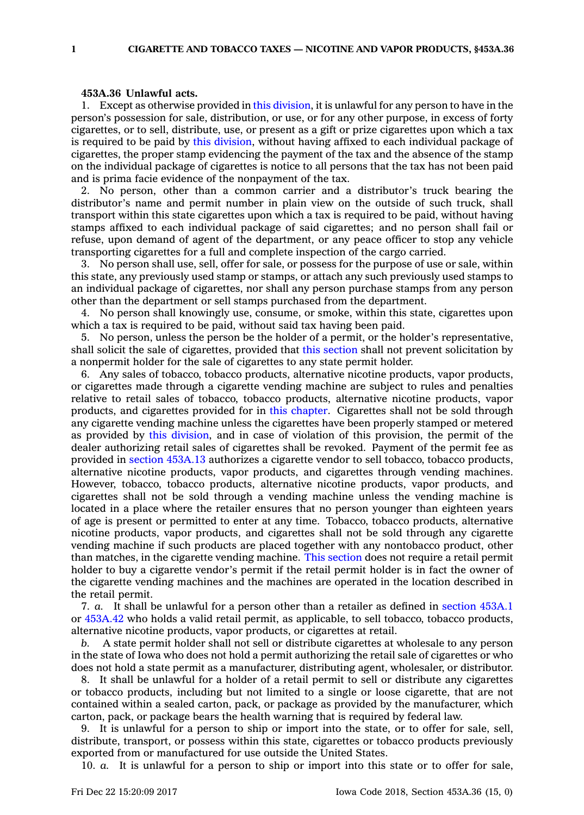## **453A.36 Unlawful acts.**

1. Except as otherwise provided in this [division](https://www.legis.iowa.gov/docs/code//453A.pdf), it is unlawful for any person to have in the person's possession for sale, distribution, or use, or for any other purpose, in excess of forty cigarettes, or to sell, distribute, use, or present as <sup>a</sup> gift or prize cigarettes upon which <sup>a</sup> tax is required to be paid by this [division](https://www.legis.iowa.gov/docs/code//453A.pdf), without having affixed to each individual package of cigarettes, the proper stamp evidencing the payment of the tax and the absence of the stamp on the individual package of cigarettes is notice to all persons that the tax has not been paid and is prima facie evidence of the nonpayment of the tax.

2. No person, other than <sup>a</sup> common carrier and <sup>a</sup> distributor's truck bearing the distributor's name and permit number in plain view on the outside of such truck, shall transport within this state cigarettes upon which <sup>a</sup> tax is required to be paid, without having stamps affixed to each individual package of said cigarettes; and no person shall fail or refuse, upon demand of agent of the department, or any peace officer to stop any vehicle transporting cigarettes for <sup>a</sup> full and complete inspection of the cargo carried.

3. No person shall use, sell, offer for sale, or possess for the purpose of use or sale, within this state, any previously used stamp or stamps, or attach any such previously used stamps to an individual package of cigarettes, nor shall any person purchase stamps from any person other than the department or sell stamps purchased from the department.

4. No person shall knowingly use, consume, or smoke, within this state, cigarettes upon which <sup>a</sup> tax is required to be paid, without said tax having been paid.

5. No person, unless the person be the holder of <sup>a</sup> permit, or the holder's representative, shall solicit the sale of cigarettes, provided that this [section](https://www.legis.iowa.gov/docs/code/453A.36.pdf) shall not prevent solicitation by <sup>a</sup> nonpermit holder for the sale of cigarettes to any state permit holder.

6. Any sales of tobacco, tobacco products, alternative nicotine products, vapor products, or cigarettes made through <sup>a</sup> cigarette vending machine are subject to rules and penalties relative to retail sales of tobacco, tobacco products, alternative nicotine products, vapor products, and cigarettes provided for in this [chapter](https://www.legis.iowa.gov/docs/code//453A.pdf). Cigarettes shall not be sold through any cigarette vending machine unless the cigarettes have been properly stamped or metered as provided by this [division](https://www.legis.iowa.gov/docs/code//453A.pdf), and in case of violation of this provision, the permit of the dealer authorizing retail sales of cigarettes shall be revoked. Payment of the permit fee as provided in section [453A.13](https://www.legis.iowa.gov/docs/code/453A.13.pdf) authorizes <sup>a</sup> cigarette vendor to sell tobacco, tobacco products, alternative nicotine products, vapor products, and cigarettes through vending machines. However, tobacco, tobacco products, alternative nicotine products, vapor products, and cigarettes shall not be sold through <sup>a</sup> vending machine unless the vending machine is located in <sup>a</sup> place where the retailer ensures that no person younger than eighteen years of age is present or permitted to enter at any time. Tobacco, tobacco products, alternative nicotine products, vapor products, and cigarettes shall not be sold through any cigarette vending machine if such products are placed together with any nontobacco product, other than matches, in the cigarette vending machine. This [section](https://www.legis.iowa.gov/docs/code/453A.36.pdf) does not require <sup>a</sup> retail permit holder to buy <sup>a</sup> cigarette vendor's permit if the retail permit holder is in fact the owner of the cigarette vending machines and the machines are operated in the location described in the retail permit.

7. *a.* It shall be unlawful for <sup>a</sup> person other than <sup>a</sup> retailer as defined in [section](https://www.legis.iowa.gov/docs/code/453A.1.pdf) 453A.1 or [453A.42](https://www.legis.iowa.gov/docs/code/453A.42.pdf) who holds <sup>a</sup> valid retail permit, as applicable, to sell tobacco, tobacco products, alternative nicotine products, vapor products, or cigarettes at retail.

*b.* A state permit holder shall not sell or distribute cigarettes at wholesale to any person in the state of Iowa who does not hold <sup>a</sup> permit authorizing the retail sale of cigarettes or who does not hold <sup>a</sup> state permit as <sup>a</sup> manufacturer, distributing agent, wholesaler, or distributor.

8. It shall be unlawful for <sup>a</sup> holder of <sup>a</sup> retail permit to sell or distribute any cigarettes or tobacco products, including but not limited to <sup>a</sup> single or loose cigarette, that are not contained within <sup>a</sup> sealed carton, pack, or package as provided by the manufacturer, which carton, pack, or package bears the health warning that is required by federal law.

9. It is unlawful for <sup>a</sup> person to ship or import into the state, or to offer for sale, sell, distribute, transport, or possess within this state, cigarettes or tobacco products previously exported from or manufactured for use outside the United States.

10. *a.* It is unlawful for <sup>a</sup> person to ship or import into this state or to offer for sale,